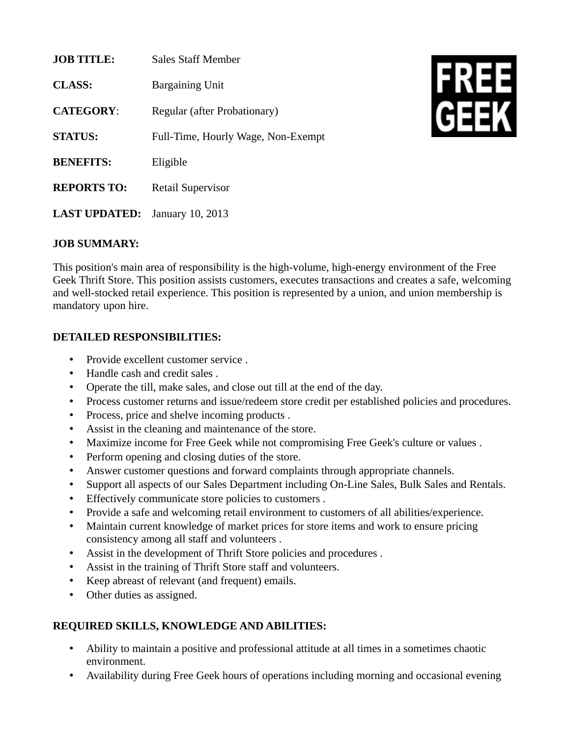| <b>JOB TITLE:</b>                     | <b>Sales Staff Member</b>          |
|---------------------------------------|------------------------------------|
| <b>CLASS:</b>                         | Bargaining Unit                    |
| <b>CATEGORY:</b>                      | Regular (after Probationary)       |
| <b>STATUS:</b>                        | Full-Time, Hourly Wage, Non-Exempt |
| <b>BENEFITS:</b>                      | Eligible                           |
| <b>REPORTS TO:</b>                    | <b>Retail Supervisor</b>           |
| <b>LAST UPDATED:</b> January 10, 2013 |                                    |



## **JOB SUMMARY:**

This position's main area of responsibility is the high-volume, high-energy environment of the Free Geek Thrift Store. This position assists customers, executes transactions and creates a safe, welcoming and well-stocked retail experience. This position is represented by a union, and union membership is mandatory upon hire.

## **DETAILED RESPONSIBILITIES:**

- Provide excellent customer service .
- Handle cash and credit sales .
- Operate the till, make sales, and close out till at the end of the day.
- Process customer returns and issue/redeem store credit per established policies and procedures.
- Process, price and shelve incoming products .
- Assist in the cleaning and maintenance of the store.
- Maximize income for Free Geek while not compromising Free Geek's culture or values .
- Perform opening and closing duties of the store.
- Answer customer questions and forward complaints through appropriate channels.
- Support all aspects of our Sales Department including On-Line Sales, Bulk Sales and Rentals.
- Effectively communicate store policies to customers .
- Provide a safe and welcoming retail environment to customers of all abilities/experience.
- Maintain current knowledge of market prices for store items and work to ensure pricing consistency among all staff and volunteers .
- Assist in the development of Thrift Store policies and procedures .
- Assist in the training of Thrift Store staff and volunteers.
- Keep abreast of relevant (and frequent) emails.
- Other duties as assigned.

## **REQUIRED SKILLS, KNOWLEDGE AND ABILITIES:**

- Ability to maintain a positive and professional attitude at all times in a sometimes chaotic environment.
- Availability during Free Geek hours of operations including morning and occasional evening